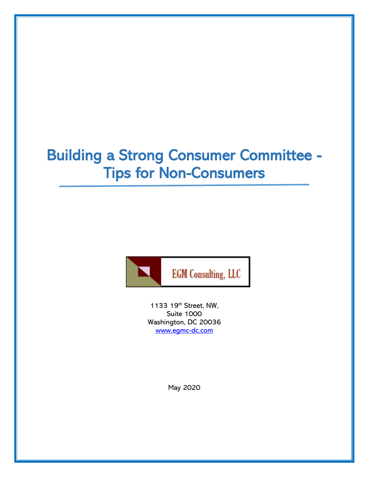# Building a Strong Consumer Committee - Tips for Non-Consumers



1133 19th Street, NW, Suite 1000 Washington, DC 20036 [www.egmc-dc.com](http://www.egmc-dc.com/)

May 2020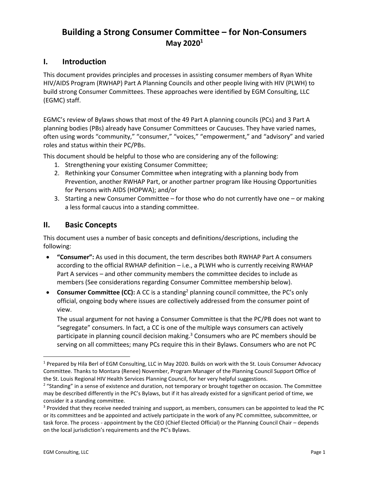# **Building a Strong Consumer Committee – for Non-Consumers May 2020<sup>1</sup>**

## **I. Introduction**

This document provides principles and processes in assisting consumer members of Ryan White HIV/AIDS Program (RWHAP) Part A Planning Councils and other people living with HIV (PLWH) to build strong Consumer Committees. These approaches were identified by EGM Consulting, LLC (EGMC) staff.

EGMC's review of Bylaws shows that most of the 49 Part A planning councils (PCs) and 3 Part A planning bodies (PBs) already have Consumer Committees or Caucuses. They have varied names, often using words "community," "consumer," "voices," "empowerment," and "advisory" and varied roles and status within their PC/PBs.

This document should be helpful to those who are considering any of the following:

- 1. Strengthening your existing Consumer Committee;
- 2. Rethinking your Consumer Committee when integrating with a planning body from Prevention, another RWHAP Part, or another partner program like Housing Opportunities for Persons with AIDS (HOPWA); and/or
- 3. Starting a new Consumer Committee for those who do not currently have one or making a less formal caucus into a standing committee.

## **II. Basic Concepts**

This document uses a number of basic concepts and definitions/descriptions, including the following:

- **"Consumer":** As used in this document, the term describes both RWHAP Part A consumers according to the official RWHAP definition – i.e., a PLWH who is currently receiving RWHAP Part A services – and other community members the committee decides to include as members (See considerations regarding Consumer Committee membership below).
- **Consumer Committee (CC):** A CC is a standing<sup>2</sup> planning council committee, the PC's only official, ongoing body where issues are collectively addressed from the consumer point of view.

The usual argument for not having a Consumer Committee is that the PC/PB does not want to "segregate" consumers. In fact, a CC is one of the multiple ways consumers can actively participate in planning council decision making.<sup>3</sup> Consumers who are PC members should be serving on all committees; many PCs require this in their Bylaws. Consumers who are not PC

<sup>1</sup> Prepared by Hila Berl of EGM Consulting, LLC in May 2020. Builds on work with the St. Louis Consumer Advocacy Committee. Thanks to Montara (Renee) November, Program Manager of the Planning Council Support Office of the St. Louis Regional HIV Health Services Planning Council, for her very helpful suggestions.

<sup>&</sup>lt;sup>2</sup> "Standing" in a sense of existence and duration, not temporary or brought together on occasion. The Committee may be described differently in the PC's Bylaws, but if it has already existed for a significant period of time, we consider it a standing committee.

<sup>&</sup>lt;sup>3</sup> Provided that they receive needed training and support, as members, consumers can be appointed to lead the PC or its committees and be appointed and actively participate in the work of any PC committee, subcommittee, or task force. The process - appointment by the CEO (Chief Elected Official) or the Planning Council Chair – depends on the local jurisdiction's requirements and the PC's Bylaws.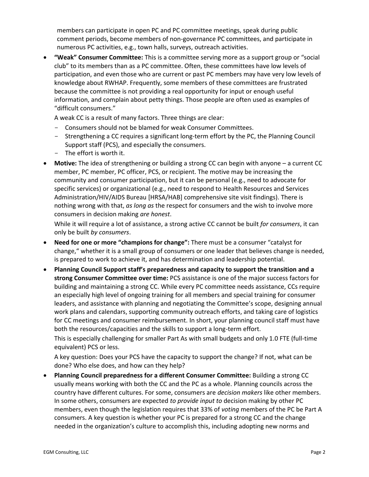members can participate in open PC and PC committee meetings, speak during public comment periods, become members of non-governance PC committees, and participate in numerous PC activities, e.g., town halls, surveys, outreach activities.

• **"Weak" Consumer Committee:** This is a committee serving more as a support group or "social club" to its members than as a PC committee. Often, these committees have low levels of participation, and even those who are current or past PC members may have very low levels of knowledge about RWHAP. Frequently, some members of these committees are frustrated because the committee is not providing a real opportunity for input or enough useful information, and complain about petty things. Those people are often used as examples of "difficult consumers."

A weak CC is a result of many factors. Three things are clear:

- Consumers should not be blamed for weak Consumer Committees.
- Strengthening a CC requires a significant long-term effort by the PC, the Planning Council Support staff (PCS), and especially the consumers.
- The effort is worth it.
- **Motive:** The idea of strengthening or building a strong CC can begin with anyone a current CC member, PC member, PC officer, PCS, or recipient. The motive may be increasing the community and consumer participation, but it can be personal (e.g., need to advocate for specific services) or organizational (e.g., need to respond to Health Resources and Services Administration/HIV/AIDS Bureau [HRSA/HAB] comprehensive site visit findings). There is nothing wrong with that, *as long as* the respect for consumers and the wish to involve more consumers in decision making *are honest*.

While it will require a lot of assistance, a strong active CC cannot be built *for consumers*, it can only be built *by consumers*.

- **Need for one or more "champions for change":** There must be a consumer "catalyst for change," whether it is a small group of consumers or one leader that believes change is needed, is prepared to work to achieve it, and has determination and leadership potential.
- **Planning Council Support staff's preparedness and capacity to support the transition and a strong Consumer Committee over time:** PCS assistance is one of the major success factors for building and maintaining a strong CC. While every PC committee needs assistance, CCs require an especially high level of ongoing training for all members and special training for consumer leaders, and assistance with planning and negotiating the Committee's scope, designing annual work plans and calendars, supporting community outreach efforts, and taking care of logistics for CC meetings and consumer reimbursement. In short, your planning council staff must have both the resources/capacities and the skills to support a long-term effort.

This is especially challenging for smaller Part As with small budgets and only 1.0 FTE (full-time equivalent) PCS or less.

A key question: Does your PCS have the capacity to support the change? If not, what can be done? Who else does, and how can they help?

• **Planning Council preparedness for a different Consumer Committee:** Building a strong CC usually means working with both the CC and the PC as a whole. Planning councils across the country have different cultures. For some, consumers are *decision makers* like other members. In some others, consumers are expected *to provide input to* decision making by other PC members, even though the legislation requires that 33% of *voting* members of the PC be Part A consumers. A key question is whether your PC is prepared for a strong CC and the change needed in the organization's culture to accomplish this, including adopting new norms and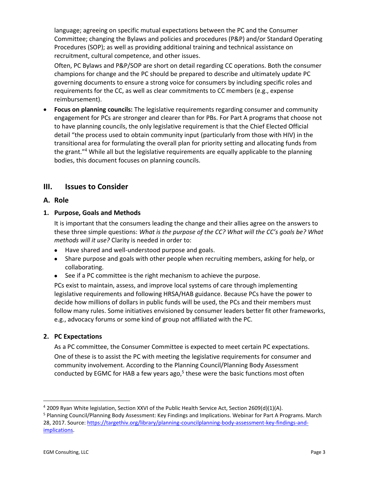language; agreeing on specific mutual expectations between the PC and the Consumer Committee; changing the Bylaws and policies and procedures (P&P) and/or Standard Operating Procedures (SOP); as well as providing additional training and technical assistance on recruitment, cultural competence, and other issues.

Often, PC Bylaws and P&P/SOP are short on detail regarding CC operations. Both the consumer champions for change and the PC should be prepared to describe and ultimately update PC governing documents to ensure a strong voice for consumers by including specific roles and requirements for the CC, as well as clear commitments to CC members (e.g., expense reimbursement).

• **Focus on planning councils:** The legislative requirements regarding consumer and community engagement for PCs are stronger and clearer than for PBs. For Part A programs that choose not to have planning councils, the only legislative requirement is that the Chief Elected Official detail "the process used to obtain community input (particularly from those with HIV) in the transitional area for formulating the overall plan for priority setting and allocating funds from the grant."<sup>4</sup> While all but the legislative requirements are equally applicable to the planning bodies, this document focuses on planning councils.

## **III. Issues to Consider**

## **A. Role**

#### **1. Purpose, Goals and Methods**

It is important that the consumers leading the change and their allies agree on the answers to these three simple questions: *What is the purpose of the CC? What will the CC's goals be? What methods will it use?* Clarity is needed in order to:

- Have shared and well-understood purpose and goals.
- Share purpose and goals with other people when recruiting members, asking for help, or collaborating.
- See if a PC committee is the right mechanism to achieve the purpose.

PCs exist to maintain, assess, and improve local systems of care through implementing legislative requirements and following HRSA/HAB guidance. Because PCs have the power to decide how millions of dollars in public funds will be used, the PCs and their members must follow many rules. Some initiatives envisioned by consumer leaders better fit other frameworks, e.g., advocacy forums or some kind of group not affiliated with the PC.

#### **2. PC Expectations**

As a PC committee, the Consumer Committee is expected to meet certain PC expectations. One of these is to assist the PC with meeting the legislative requirements for consumer and community involvement. According to the Planning Council/Planning Body Assessment conducted by EGMC for HAB a few years ago,<sup>5</sup> these were the basic functions most often

<sup>4</sup> 2009 Ryan White legislation, Section XXVI of the Public Health Service Act, Section 2609(d)(1)(A).

<sup>5</sup> Planning Council/Planning Body Assessment: Key Findings and Implications. Webinar for Part A Programs. March 28, 2017. Source[: https://targethiv.org/library/planning-councilplanning-body-assessment-key-findings-and](https://targethiv.org/library/planning-councilplanning-body-assessment-key-findings-and-implications)[implications.](https://targethiv.org/library/planning-councilplanning-body-assessment-key-findings-and-implications)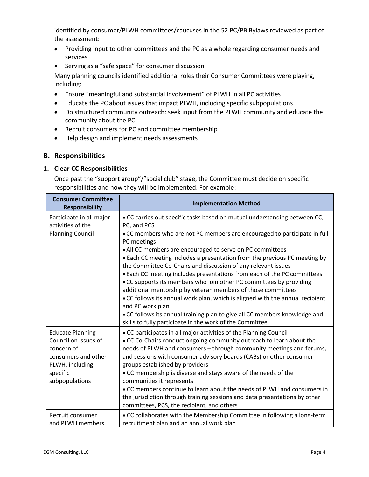identified by consumer/PLWH committees/caucuses in the 52 PC/PB Bylaws reviewed as part of the assessment:

- Providing input to other committees and the PC as a whole regarding consumer needs and services
- Serving as a "safe space" for consumer discussion

Many planning councils identified additional roles their Consumer Committees were playing, including:

- Ensure "meaningful and substantial involvement" of PLWH in all PC activities
- Educate the PC about issues that impact PLWH, including specific subpopulations
- Do structured community outreach: seek input from the PLWH community and educate the community about the PC
- Recruit consumers for PC and committee membership
- Help design and implement needs assessments

#### **B. Responsibilities**

#### **1. Clear CC Responsibilities**

Once past the "support group"/"social club" stage, the Committee must decide on specific responsibilities and how they will be implemented. For example:

| <b>Consumer Committee</b><br><b>Responsibility</b> | <b>Implementation Method</b>                                                                                                                                      |
|----------------------------------------------------|-------------------------------------------------------------------------------------------------------------------------------------------------------------------|
| Participate in all major<br>activities of the      | . CC carries out specific tasks based on mutual understanding between CC,<br>PC, and PCS                                                                          |
| <b>Planning Council</b>                            | . CC members who are not PC members are encouraged to participate in full<br>PC meetings                                                                          |
|                                                    | . All CC members are encouraged to serve on PC committees<br><b>Each CC meeting includes a presentation from the previous PC meeting by</b>                       |
|                                                    | the Committee Co-Chairs and discussion of any relevant issues                                                                                                     |
|                                                    | . Each CC meeting includes presentations from each of the PC committees<br>CC supports its members who join other PC committees by providing                      |
|                                                    | additional mentorship by veteran members of those committees<br>. CC follows its annual work plan, which is aligned with the annual recipient<br>and PC work plan |
|                                                    | . CC follows its annual training plan to give all CC members knowledge and<br>skills to fully participate in the work of the Committee                            |
| <b>Educate Planning</b><br>Council on issues of    | • CC participates in all major activities of the Planning Council<br>. CC Co-Chairs conduct ongoing community outreach to learn about the                         |
| concern of                                         | needs of PLWH and consumers - through community meetings and forums,                                                                                              |
| consumers and other<br>PLWH, including             | and sessions with consumer advisory boards (CABs) or other consumer<br>groups established by providers                                                            |
| specific                                           | • CC membership is diverse and stays aware of the needs of the                                                                                                    |
| subpopulations                                     | communities it represents<br>. CC members continue to learn about the needs of PLWH and consumers in                                                              |
|                                                    | the jurisdiction through training sessions and data presentations by other<br>committees, PCS, the recipient, and others                                          |
| Recruit consumer<br>and PLWH members               | • CC collaborates with the Membership Committee in following a long-term<br>recruitment plan and an annual work plan                                              |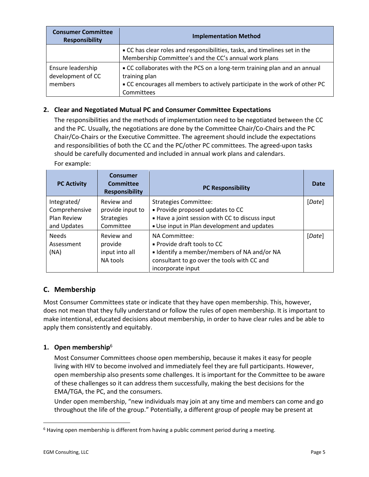| <b>Consumer Committee</b><br><b>Responsibility</b> | <b>Implementation Method</b>                                                                                                                                                            |  |  |
|----------------------------------------------------|-----------------------------------------------------------------------------------------------------------------------------------------------------------------------------------------|--|--|
|                                                    | • CC has clear roles and responsibilities, tasks, and timelines set in the<br>Membership Committee's and the CC's annual work plans                                                     |  |  |
| Ensure leadership<br>development of CC<br>members  | • CC collaborates with the PCS on a long-term training plan and an annual<br>training plan<br>• CC encourages all members to actively participate in the work of other PC<br>Committees |  |  |

## **2. Clear and Negotiated Mutual PC and Consumer Committee Expectations**

The responsibilities and the methods of implementation need to be negotiated between the CC and the PC. Usually, the negotiations are done by the Committee Chair/Co-Chairs and the PC Chair/Co-Chairs or the Executive Committee. The agreement should include the expectations and responsibilities of both the CC and the PC/other PC committees. The agreed-upon tasks should be carefully documented and included in annual work plans and calendars.

For example:

| <b>PC Activity</b>                                         | <b>Consumer</b><br>Committee<br><b>Responsibility</b>            | <b>PC Responsibility</b>                                                                                                                                           | Date   |
|------------------------------------------------------------|------------------------------------------------------------------|--------------------------------------------------------------------------------------------------------------------------------------------------------------------|--------|
| Integrated/<br>Comprehensive<br>Plan Review<br>and Updates | Review and<br>provide input to<br><b>Strategies</b><br>Committee | <b>Strategies Committee:</b><br>- Provide proposed updates to CC<br>- Have a joint session with CC to discuss input<br>- Use input in Plan development and updates | [Date] |
| <b>Needs</b><br>Assessment<br>(NA)                         | Review and<br>provide<br>input into all<br>NA tools              | NA Committee:<br>• Provide draft tools to CC<br>I Identify a member/members of NA and/or NA<br>consultant to go over the tools with CC and<br>incorporate input    | [Date] |

## **C. Membership**

Most Consumer Committees state or indicate that they have open membership. This, however, does not mean that they fully understand or follow the rules of open membership. It is important to make intentional, educated decisions about membership, in order to have clear rules and be able to apply them consistently and equitably.

## **1. Open membership**<sup>6</sup>

Most Consumer Committees choose open membership, because it makes it easy for people living with HIV to become involved and immediately feel they are full participants. However, open membership also presents some challenges. It is important for the Committee to be aware of these challenges so it can address them successfully, making the best decisions for the EMA/TGA, the PC, and the consumers.

Under open membership, "new individuals may join at any time and members can come and go throughout the life of the group." Potentially, a different group of people may be present at

 $6$  Having open membership is different from having a public comment period during a meeting.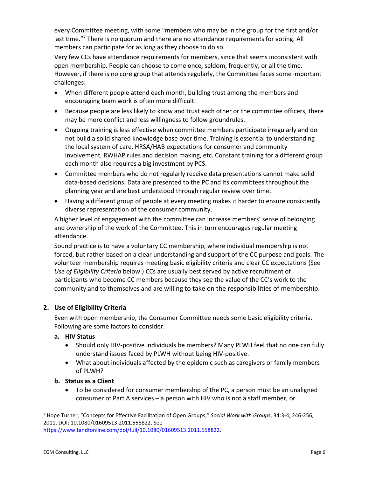every Committee meeting, with some "members who may be in the group for the first and/or last time."<sup>7</sup> There is no quorum and there are no attendance requirements for voting. All members can participate for as long as they choose to do so.

Very few CCs have attendance requirements for members, since that seems inconsistent with open membership. People can choose to come once, seldom, frequently, or all the time. However, if there is no core group that attends regularly, the Committee faces some important challenges:

- When different people attend each month, building trust among the members and encouraging team work is often more difficult.
- Because people are less likely to know and trust each other or the committee officers, there may be more conflict and less willingness to follow groundrules.
- Ongoing training is less effective when committee members participate irregularly and do not build a solid shared knowledge base over time. Training is essential to understanding the local system of care, HRSA/HAB expectations for consumer and community involvement, RWHAP rules and decision making, etc. Constant training for a different group each month also requires a big investment by PCS.
- Committee members who do not regularly receive data presentations cannot make solid data-based decisions. Data are presented to the PC and its committees throughout the planning year and are best understood through regular review over time.
- Having a different group of people at every meeting makes it harder to ensure consistently diverse representation of the consumer community.

A higher level of engagement with the committee can increase members' sense of belonging and ownership of the work of the Committee. This in turn encourages regular meeting attendance.

Sound practice is to have a voluntary CC membership, where individual membership is not forced, but rather based on a clear understanding and support of the CC purpose and goals. The volunteer membership requires meeting basic eligibility criteria and clear CC expectations (See *Use of Eligibility Criteria* below.) CCs are usually best served by active recruitment of participants who become CC members because they see the value of the CC's work to the community and to themselves and are willing to take on the responsibilities of membership.

## **2. Use of Eligibility Criteria**

Even with open membership, the Consumer Committee needs some basic eligibility criteria. Following are some factors to consider.

## **a. HIV Status**

- Should only HIV-positive individuals be members? Many PLWH feel that no one can fully understand issues faced by PLWH without being HIV-positive.
- What about individuals affected by the epidemic such as caregivers or family members of PLWH?

#### **b. Status as a Client**

• To be considered for consumer membership of the PC, a person must be an unaligned consumer of Part A services – a person with HIV who is not a staff member, or

<sup>7</sup> Hope Turner, "Concepts for Effective Facilitation of Open Groups," *Social Work with Groups*, 34:3-4, 246-256, 2011, DOI: 10.1080/01609513.2011.558822. See

[https://www.tandfonline.com/doi/full/10.1080/01609513.2011.558822.](https://www.tandfonline.com/doi/full/10.1080/01609513.2011.558822)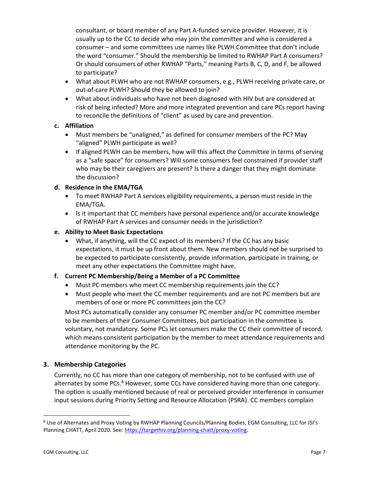consultant, or board member of any Part A-funded service provider. However, it is usually up to the CC to decide who may join the committee and who is considered a consumer – and some committees use names like PLWH Committee that don't include the word "consumer." Should the membership be limited to RWHAP Part A consumers? Or should consumers of other RWHAP "Parts," meaning Parts B, C, D, and F, be allowed to participate?

- What about PLWH who are not RWHAP consumers, e.g., PLWH receiving private care, or out-of-care PLWH? Should they be allowed to join?
- What about individuals who have not been diagnosed with HIV but are considered at risk of being infected? More and more integrated prevention and care PCs report having to reconcile the definitions of "client" as used by care and prevention.

## **c. Affiliation**

- Must members be "unaligned," as defined for consumer members of the PC? May "aligned" PLWH participate as well?
- If aligned PLWH can be members, how will this affect the Committee in terms of serving as a "safe space" for consumers? Will some consumers feel constrained if provider staff who may be their caregivers are present? Is there a danger that they might dominate the discussion?

## **d. Residence in the EMA/TGA**

- To meet RWHAP Part A services eligibility requirements, a person must reside in the EMA/TGA.
- Is it important that CC members have personal experience and/or accurate knowledge of RWHAP Part A services and consumer needs in the jurisdiction?
- **e. Ability to Meet Basic Expectations**
	- What, if anything, will the CC expect of its members? If the CC has any basic expectations, it must be up front about them. New members should not be surprised to be expected to participate consistently, provide information, participate in training, or meet any other expectations the Committee might have.

#### **f. Current PC Membership/Being a Member of a PC Committee**

- Must PC members who meet CC membership requirements join the CC?
- Must people who meet the CC member requirements and are not PC members but are members of one or more PC committees join the CC?

Most PCs automatically consider any consumer PC member and/or PC committee member to be members of their Consumer Committees, but participation in the committee is voluntary, not mandatory. Some PCs let consumers make the CC their committee of record, which means consistent participation by the member to meet attendance requirements and attendance monitoring by the PC.

## **3. Membership Categories**

Currently, no CC has more than one category of membership, not to be confused with use of alternates by some PCs.<sup>8</sup> However, some CCs have considered having more than one category. The option is usually mentioned because of real or perceived provider interference in consumer input sessions during Priority Setting and Resource Allocation (PSRA). CC members complain

<sup>&</sup>lt;sup>8</sup> Use of Alternates and Proxy Voting by RWHAP Planning Councils/Planning Bodies, EGM Consulting, LLC for JSI's Planning CHATT, April 2020. See: [https://targethiv.org/planning-chatt/proxy-voting.](https://targethiv.org/planning-chatt/proxy-voting)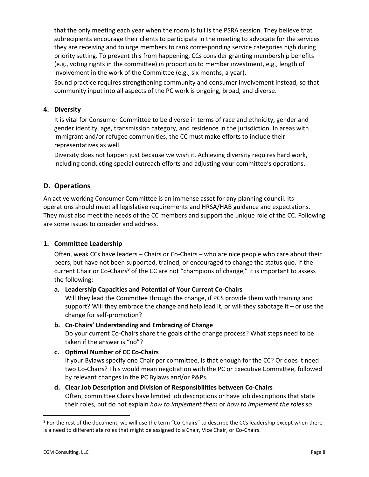that the only meeting each year when the room is full is the PSRA session. They believe that subrecipients encourage their clients to participate in the meeting to advocate for the services they are receiving and to urge members to rank corresponding service categories high during priority setting. To prevent this from happening, CCs consider granting membership benefits (e.g., voting rights in the committee) in proportion to member investment, e.g., length of involvement in the work of the Committee (e.g., six months, a year).

Sound practice requires strengthening community and consumer involvement instead, so that community input into all aspects of the PC work is ongoing, broad, and diverse.

#### **4. Diversity**

It is vital for Consumer Committee to be diverse in terms of race and ethnicity, gender and gender identity, age, transmission category, and residence in the jurisdiction. In areas with immigrant and/or refugee communities, the CC must make efforts to include their representatives as well.

Diversity does not happen just because we wish it. Achieving diversity requires hard work, including conducting special outreach efforts and adjusting your committee's operations.

## **D. Operations**

An active working Consumer Committee is an immense asset for any planning council. Its operations should meet all legislative requirements and HRSA/HAB guidance and expectations. They must also meet the needs of the CC members and support the unique role of the CC. Following are some issues to consider and address.

## **1. Committee Leadership**

Often, weak CCs have leaders – Chairs or Co-Chairs – who are nice people who care about their peers, but have not been supported, trained, or encouraged to change the status quo. If the current Chair or Co-Chairs<sup>9</sup> of the CC are not "champions of change," it is important to assess the following:

#### **a. Leadership Capacities and Potential of Your Current Co-Chairs**

Will they lead the Committee through the change, if PCS provide them with training and support? Will they embrace the change and help lead it, or will they sabotage it – or use the change for self-promotion?

## **b. Co-Chairs' Understanding and Embracing of Change**

Do your current Co-Chairs share the goals of the change process? What steps need to be taken if the answer is "no"?

#### **c. Optimal Number of CC Co-Chairs**

If your Bylaws specify one Chair per committee, is that enough for the CC? Or does it need two Co-Chairs? This would mean negotiation with the PC or Executive Committee, followed by relevant changes in the PC Bylaws and/or P&Ps.

# **d. Clear Job Description and Division of Responsibilities between Co-Chairs**

Often, committee Chairs have limited job descriptions or have job descriptions that state their roles, but do not explain *how to implement them* or *how to implement the roles so* 

<sup>&</sup>lt;sup>9</sup> For the rest of the document, we will use the term "Co-Chairs" to describe the CCs leadership except when there is a need to differentiate roles that might be assigned to a Chair, Vice Chair, or Co-Chairs.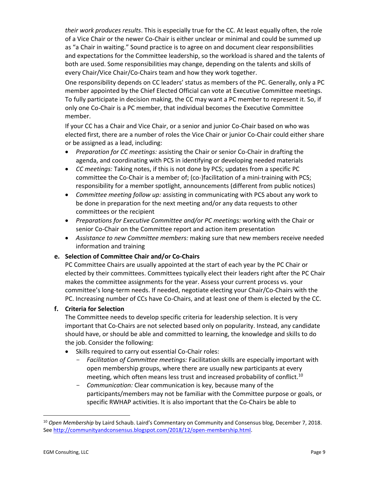*their work produces results*. This is especially true for the CC. At least equally often, the role of a Vice Chair or the newer Co-Chair is either unclear or minimal and could be summed up as "a Chair in waiting." Sound practice is to agree on and document clear responsibilities and expectations for the Committee leadership, so the workload is shared and the talents of both are used. Some responsibilities may change, depending on the talents and skills of every Chair/Vice Chair/Co-Chairs team and how they work together.

One responsibility depends on CC leaders' status as members of the PC. Generally, only a PC member appointed by the Chief Elected Official can vote at Executive Committee meetings. To fully participate in decision making, the CC may want a PC member to represent it. So, if only one Co-Chair is a PC member, that individual becomes the Executive Committee member.

If your CC has a Chair and Vice Chair, or a senior and junior Co-Chair based on who was elected first, there are a number of roles the Vice Chair or junior Co-Chair could either share or be assigned as a lead, including:

- *Preparation for CC meetings:* assisting the Chair or senior Co-Chair in drafting the agenda, and coordinating with PCS in identifying or developing needed materials
- *CC meetings:* Taking notes, if this is not done by PCS; updates from a specific PC committee the Co-Chair is a member of; (co-)facilitation of a mini-training with PCS; responsibility for a member spotlight, announcements (different from public notices)
- *Committee meeting follow up:* assisting in communicating with PCS about any work to be done in preparation for the next meeting and/or any data requests to other committees or the recipient
- *Preparations for Executive Committee and/or PC meetings:* working with the Chair or senior Co-Chair on the Committee report and action item presentation
- *Assistance to new Committee members:* making sure that new members receive needed information and training

## **e. Selection of Committee Chair and/or Co-Chairs**

PC Committee Chairs are usually appointed at the start of each year by the PC Chair or elected by their committees. Committees typically elect their leaders right after the PC Chair makes the committee assignments for the year. Assess your current process vs. your committee's long-term needs. If needed, negotiate electing your Chair/Co-Chairs with the PC. Increasing number of CCs have Co-Chairs, and at least one of them is elected by the CC.

#### **f. Criteria for Selection**

The Committee needs to develop specific criteria for leadership selection. It is very important that Co-Chairs are not selected based only on popularity. Instead, any candidate should have, or should be able and committed to learning, the knowledge and skills to do the job. Consider the following:

- Skills required to carry out essential Co-Chair roles:
	- *Facilitation of Committee meetings:* Facilitation skills are especially important with open membership groups, where there are usually new participants at every meeting, which often means less trust and increased probability of conflict.<sup>10</sup>
	- *Communication:* Clear communication is key, because many of the participants/members may not be familiar with the Committee purpose or goals, or specific RWHAP activities. It is also important that the Co-Chairs be able to

<sup>10</sup> *Open Membership* by Laird Schaub. Laird's Commentary on Community and Consensus blog, December 7, 2018. See [http://communityandconsensus.blogspot.com/2018/12/open-membership.html.](http://communityandconsensus.blogspot.com/2018/12/open-membership.html)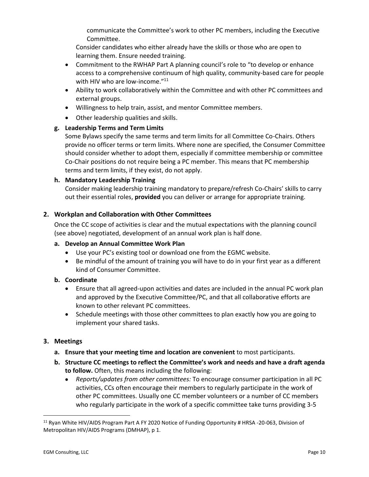communicate the Committee's work to other PC members, including the Executive Committee.

Consider candidates who either already have the skills or those who are open to learning them. Ensure needed training.

- Commitment to the RWHAP Part A planning council's role to "to develop or enhance access to a comprehensive continuum of high quality, community-based care for people with HIV who are low-income."<sup>11</sup>
- Ability to work collaboratively within the Committee and with other PC committees and external groups.
- Willingness to help train, assist, and mentor Committee members.
- Other leadership qualities and skills.

## **g. Leadership Terms and Term Limits**

Some Bylaws specify the same terms and term limits for all Committee Co-Chairs. Others provide no officer terms or term limits. Where none are specified, the Consumer Committee should consider whether to adopt them, especially if committee membership or committee Co-Chair positions do not require being a PC member. This means that PC membership terms and term limits, if they exist, do not apply.

#### **h. Mandatory Leadership Training**

Consider making leadership training mandatory to prepare/refresh Co-Chairs' skills to carry out their essential roles, **provided** you can deliver or arrange for appropriate training.

## **2. Workplan and Collaboration with Other Committees**

Once the CC scope of activities is clear and the mutual expectations with the planning council (see above) negotiated, development of an annual work plan is half done.

#### **a. Develop an Annual Committee Work Plan**

- Use your PC's existing tool or download one from the EGMC website.
- Be mindful of the amount of training you will have to do in your first year as a different kind of Consumer Committee.

#### **b. Coordinate**

- Ensure that all agreed-upon activities and dates are included in the annual PC work plan and approved by the Executive Committee/PC, and that all collaborative efforts are known to other relevant PC committees.
- Schedule meetings with those other committees to plan exactly how you are going to implement your shared tasks.

## **3. Meetings**

- **a. Ensure that your meeting time and location are convenient** to most participants.
- **b. Structure CC meetings to reflect the Committee's work and needs and have a draft agenda to follow.** Often, this means including the following:
	- *Reports/updates from other committees:* To encourage consumer participation in all PC activities, CCs often encourage their members to regularly participate in the work of other PC committees. Usually one CC member volunteers or a number of CC members who regularly participate in the work of a specific committee take turns providing 3-5

<sup>&</sup>lt;sup>11</sup> Ryan White HIV/AIDS Program Part A FY 2020 Notice of Funding Opportunity # HRSA -20-063, Division of Metropolitan HIV/AIDS Programs (DMHAP), p 1.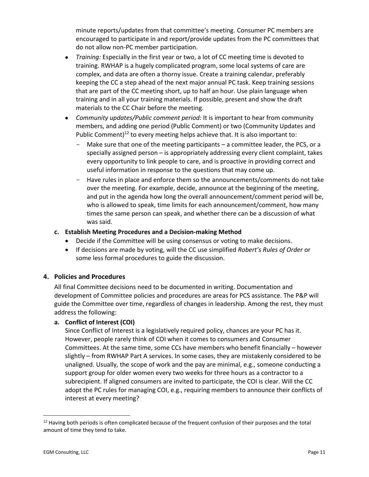minute reports/updates from that committee's meeting. Consumer PC members are encouraged to participate in and report/provide updates from the PC committees that do not allow non-PC member participation.

- *Training:* Especially in the first year or two, a lot of CC meeting time is devoted to training. RWHAP is a hugely complicated program, some local systems of care are complex, and data are often a thorny issue. Create a training calendar, preferably keeping the CC a step ahead of the next major annual PC task. Keep training sessions that are part of the CC meeting short, up to half an hour. Use plain language when training and in all your training materials. If possible, present and show the draft materials to the CC Chair before the meeting.
- *Community updates/Public comment period:* It is important to hear from community members, and adding one period (Public Comment) or two (Community Updates and Public Comment)<sup>12</sup> to every meeting helps achieve that. It is also important to:
	- Make sure that one of the meeting participants a committee leader, the PCS, or a specially assigned person – is appropriately addressing every client complaint, takes every opportunity to link people to care, and is proactive in providing correct and useful information in response to the questions that may come up.
	- Have rules in place and enforce them so the announcements/comments do not take over the meeting. For example, decide, announce at the beginning of the meeting, and put in the agenda how long the overall announcement/comment period will be, who is allowed to speak, time limits for each announcement/comment, how many times the same person can speak, and whether there can be a discussion of what was said.

#### **c. Establish Meeting Procedures and a Decision-making Method**

- Decide if the Committee will be using consensus or voting to make decisions.
- If decisions are made by voting, will the CC use simplified *Robert's Rules of Order* or some less formal procedures to guide the discussion.

## **4. Policies and Procedures**

All final Committee decisions need to be documented in writing. Documentation and development of Committee policies and procedures are areas for PCS assistance. The P&P will guide the Committee over time, regardless of changes in leadership. Among the rest, they must address the following:

## **a. Conflict of Interest (COI)**

Since Conflict of Interest is a legislatively required policy, chances are your PC has it. However, people rarely think of COI when it comes to consumers and Consumer Committees. At the same time, some CCs have members who benefit financially – however slightly – from RWHAP Part A services. In some cases, they are mistakenly considered to be unaligned. Usually, the scope of work and the pay are minimal, e.g., someone conducting a support group for older women every two weeks for three hours as a contractor to a subrecipient. If aligned consumers are invited to participate, the COI is clear. Will the CC adopt the PC rules for managing COI, e.g., requiring members to announce their conflicts of interest at every meeting?

 $12$  Having both periods is often complicated because of the frequent confusion of their purposes and the total amount of time they tend to take.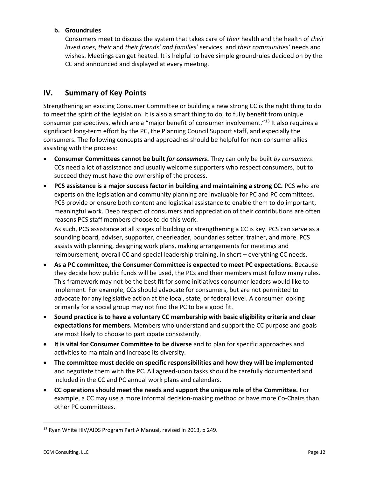#### **b. Groundrules**

Consumers meet to discuss the system that takes care of *their* health and the health of *their loved ones*, *their* and *their friends' and families*' services, and *their communities'* needs and wishes. Meetings can get heated. It is helpful to have simple groundrules decided on by the CC and announced and displayed at every meeting.

## **IV. Summary of Key Points**

Strengthening an existing Consumer Committee or building a new strong CC is the right thing to do to meet the spirit of the legislation. It is also a smart thing to do, to fully benefit from unique consumer perspectives, which are a "major benefit of consumer involvement."<sup>13</sup> It also requires a significant long-term effort by the PC, the Planning Council Support staff, and especially the consumers. The following concepts and approaches should be helpful for non-consumer allies assisting with the process:

- **Consumer Committees cannot be built** *for consumers***.** They can only be built *by consumers*. CCs need a lot of assistance and usually welcome supporters who respect consumers, but to succeed they must have the ownership of the process.
- **PCS assistance is a major success factor in building and maintaining a strong CC.** PCS who are experts on the legislation and community planning are invaluable for PC and PC committees. PCS provide or ensure both content and logistical assistance to enable them to do important, meaningful work. Deep respect of consumers and appreciation of their contributions are often reasons PCS staff members choose to do this work.

As such, PCS assistance at all stages of building or strengthening a CC is key. PCS can serve as a sounding board, adviser, supporter, cheerleader, boundaries setter, trainer, and more. PCS assists with planning, designing work plans, making arrangements for meetings and reimbursement, overall CC and special leadership training, in short – everything CC needs.

- **As a PC committee, the Consumer Committee is expected to meet PC expectations.** Because they decide how public funds will be used, the PCs and their members must follow many rules. This framework may not be the best fit for some initiatives consumer leaders would like to implement. For example, CCs should advocate for consumers, but are not permitted to advocate for any legislative action at the local, state, or federal level. A consumer looking primarily for a social group may not find the PC to be a good fit.
- **Sound practice is to have a voluntary CC membership with basic eligibility criteria and clear expectations for members.** Members who understand and support the CC purpose and goals are most likely to choose to participate consistently.
- **It is vital for Consumer Committee to be diverse** and to plan for specific approaches and activities to maintain and increase its diversity.
- **The committee must decide on specific responsibilities and how they will be implemented** and negotiate them with the PC. All agreed-upon tasks should be carefully documented and included in the CC and PC annual work plans and calendars.
- **CC operations should meet the needs and support the unique role of the Committee.** For example, a CC may use a more informal decision-making method or have more Co-Chairs than other PC committees.

<sup>&</sup>lt;sup>13</sup> Ryan White HIV/AIDS Program Part A Manual, revised in 2013, p 249.